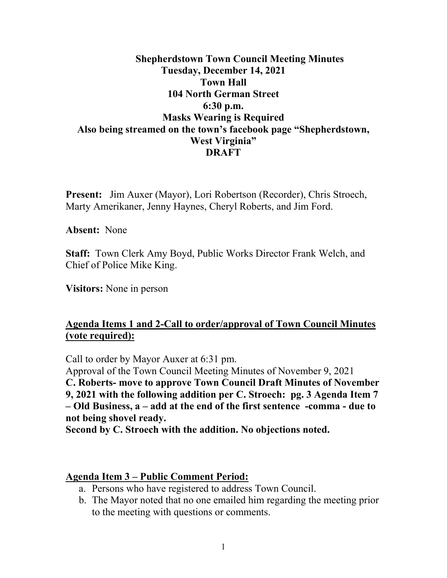### **Shepherdstown Town Council Meeting Minutes Tuesday, December 14, 2021 Town Hall 104 North German Street 6:30 p.m. Masks Wearing is Required Also being streamed on the town's facebook page "Shepherdstown, West Virginia" DRAFT**

**Present:** Jim Auxer (Mayor), Lori Robertson (Recorder), Chris Stroech, Marty Amerikaner, Jenny Haynes, Cheryl Roberts, and Jim Ford.

**Absent:** None

**Staff:** Town Clerk Amy Boyd, Public Works Director Frank Welch, and Chief of Police Mike King.

**Visitors:** None in person

#### **Agenda Items 1 and 2-Call to order/approval of Town Council Minutes (vote required):**

Call to order by Mayor Auxer at 6:31 pm.

Approval of the Town Council Meeting Minutes of November 9, 2021

**C. Roberts- move to approve Town Council Draft Minutes of November** 

**9, 2021 with the following addition per C. Stroech: pg. 3 Agenda Item 7 – Old Business, a – add at the end of the first sentence -comma - due to not being shovel ready.**

**Second by C. Stroech with the addition. No objections noted.**

#### **Agenda Item 3 – Public Comment Period:**

- a. Persons who have registered to address Town Council.
- b. The Mayor noted that no one emailed him regarding the meeting prior to the meeting with questions or comments.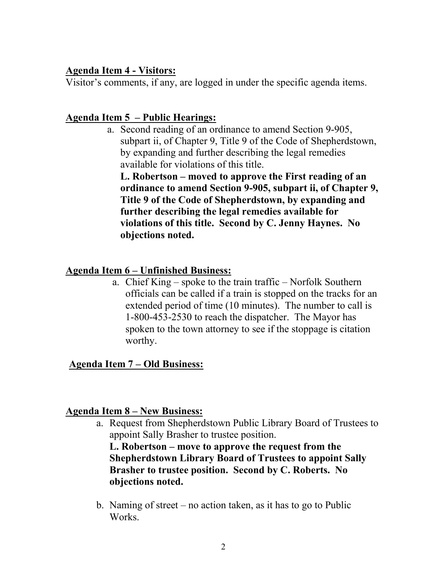#### **Agenda Item 4 - Visitors:**

Visitor's comments, if any, are logged in under the specific agenda items.

## **Agenda Item 5 – Public Hearings:**

a. Second reading of an ordinance to amend Section 9-905, subpart ii, of Chapter 9, Title 9 of the Code of Shepherdstown, by expanding and further describing the legal remedies available for violations of this title.

**L. Robertson – moved to approve the First reading of an ordinance to amend Section 9-905, subpart ii, of Chapter 9, Title 9 of the Code of Shepherdstown, by expanding and further describing the legal remedies available for violations of this title. Second by C. Jenny Haynes. No objections noted.**

# **Agenda Item 6 – Unfinished Business:**

a. Chief King – spoke to the train traffic – Norfolk Southern officials can be called if a train is stopped on the tracks for an extended period of time (10 minutes). The number to call is 1-800-453-2530 to reach the dispatcher. The Mayor has spoken to the town attorney to see if the stoppage is citation worthy.

### **Agenda Item 7 – Old Business:**

### **Agenda Item 8 – New Business:**

a. Request from Shepherdstown Public Library Board of Trustees to appoint Sally Brasher to trustee position.

**L. Robertson – move to approve the request from the Shepherdstown Library Board of Trustees to appoint Sally Brasher to trustee position. Second by C. Roberts. No objections noted.**

b. Naming of street – no action taken, as it has to go to Public Works.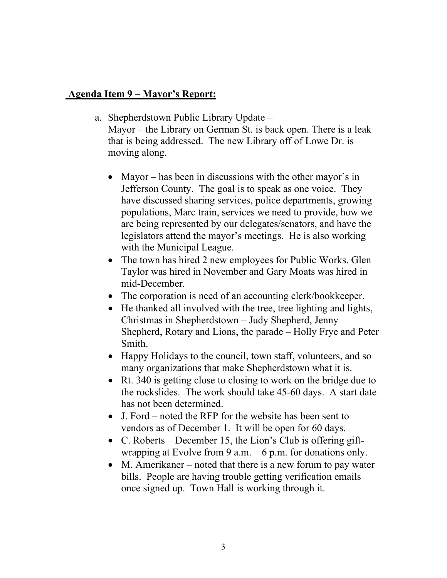#### **Agenda Item 9 – Mayor's Report:**

- a. Shepherdstown Public Library Update Mayor – the Library on German St. is back open. There is a leak that is being addressed. The new Library off of Lowe Dr. is moving along.
	- Mayor has been in discussions with the other mayor's in Jefferson County. The goal is to speak as one voice. They have discussed sharing services, police departments, growing populations, Marc train, services we need to provide, how we are being represented by our delegates/senators, and have the legislators attend the mayor's meetings. He is also working with the Municipal League.
	- The town has hired 2 new employees for Public Works. Glen Taylor was hired in November and Gary Moats was hired in mid-December.
	- The corporation is need of an accounting clerk/bookkeeper.
	- He thanked all involved with the tree, tree lighting and lights, Christmas in Shepherdstown – Judy Shepherd, Jenny Shepherd, Rotary and Lions, the parade – Holly Frye and Peter Smith.
	- Happy Holidays to the council, town staff, volunteers, and so many organizations that make Shepherdstown what it is.
	- Rt. 340 is getting close to closing to work on the bridge due to the rockslides. The work should take 45-60 days. A start date has not been determined.
	- J. Ford noted the RFP for the website has been sent to vendors as of December 1. It will be open for 60 days.
	- C. Roberts December 15, the Lion's Club is offering giftwrapping at Evolve from 9 a.m.  $-6$  p.m. for donations only.
	- M. Amerikaner noted that there is a new forum to pay water bills. People are having trouble getting verification emails once signed up. Town Hall is working through it.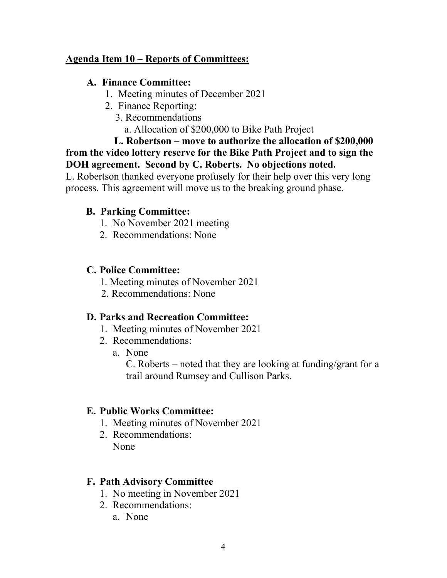### **Agenda Item 10 – Reports of Committees:**

#### **A. Finance Committee:**

- 1. Meeting minutes of December 2021
- 2. Finance Reporting:
	- 3. Recommendations
		- a. Allocation of \$200,000 to Bike Path Project

 **L. Robertson – move to authorize the allocation of \$200,000 from the video lottery reserve for the Bike Path Project and to sign the DOH agreement. Second by C. Roberts. No objections noted.** 

L. Robertson thanked everyone profusely for their help over this very long process. This agreement will move us to the breaking ground phase.

## **B. Parking Committee:**

- 1. No November 2021 meeting
- 2. Recommendations: None

## **C. Police Committee:**

- 1. Meeting minutes of November 2021
- 2. Recommendations: None

### **D. Parks and Recreation Committee:**

- 1. Meeting minutes of November 2021
- 2. Recommendations:
	- a. None

C. Roberts – noted that they are looking at funding/grant for a trail around Rumsey and Cullison Parks.

# **E. Public Works Committee:**

- 1. Meeting minutes of November 2021
- 2. Recommendations: None

### **F. Path Advisory Committee**

- 1. No meeting in November 2021
- 2. Recommendations:
	- a. None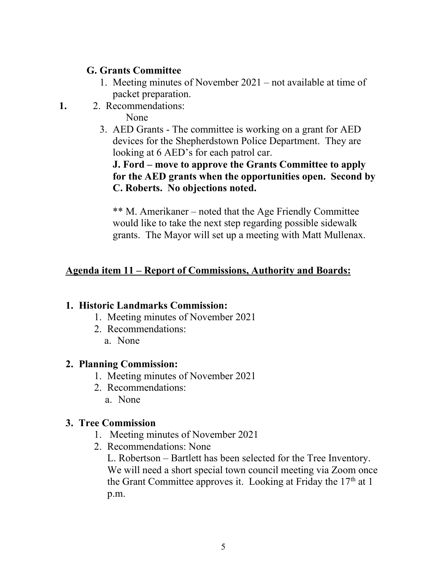### **G. Grants Committee**

- 1. Meeting minutes of November 2021 not available at time of packet preparation.
- **1.** 2. Recommendations:

None

3. AED Grants - The committee is working on a grant for AED devices for the Shepherdstown Police Department. They are looking at 6 AED's for each patrol car.

### **J. Ford – move to approve the Grants Committee to apply for the AED grants when the opportunities open. Second by C. Roberts. No objections noted.**

\*\* M. Amerikaner – noted that the Age Friendly Committee would like to take the next step regarding possible sidewalk grants. The Mayor will set up a meeting with Matt Mullenax.

# **Agenda item 11 – Report of Commissions, Authority and Boards:**

### **1. Historic Landmarks Commission:**

- 1. Meeting minutes of November 2021
- 2. Recommendations:
	- a. None

### **2. Planning Commission:**

- 1. Meeting minutes of November 2021
- 2. Recommendations:
	- a. None

# **3. Tree Commission**

- 1. Meeting minutes of November 2021
- 2. Recommendations: None

L. Robertson – Bartlett has been selected for the Tree Inventory. We will need a short special town council meeting via Zoom once the Grant Committee approves it. Looking at Friday the  $17<sup>th</sup>$  at 1 p.m.